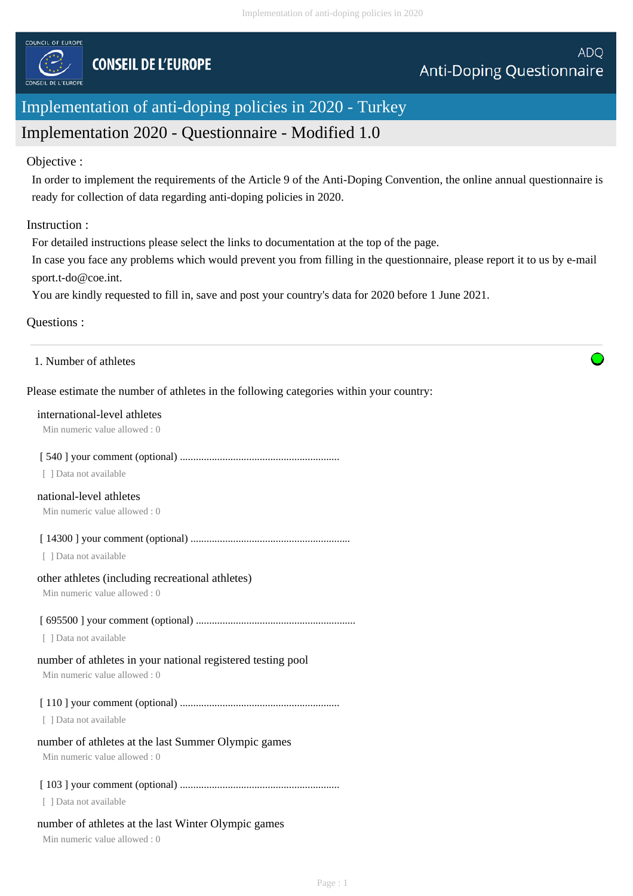

# Implementation of anti-doping policies in 2020 - Turkey

# Implementation 2020 - Questionnaire - Modified 1.0

## Objective :

In order to implement the requirements of the Article 9 of the Anti-Doping Convention, the online annual questionnaire is ready for collection of data regarding anti-doping policies in 2020.

# Instruction :

For detailed instructions please select the links to documentation at the top of the page.

In case you face any problems which would prevent you from filling in the questionnaire, please report it to us by e-mail sport.t-do@coe.int.

You are kindly requested to fill in, save and post your country's data for 2020 before 1 June 2021.

# Questions :

1. Number of athletes

# Please estimate the number of athletes in the following categories within your country:

#### international-level athletes

Min numeric value allowed : 0

# [ 540 ] your comment (optional) ............................................................

[ ] Data not available

# national-level athletes

Min numeric value allowed : 0

[ 14300 ] your comment (optional) ............................................................

[ ] Data not available

#### other athletes (including recreational athletes)

Min numeric value allowed : 0

# [ 695500 ] your comment (optional) ............................................................

[ ] Data not available

# number of athletes in your national registered testing pool

Min numeric value allowed : 0

[ 110 ] your comment (optional) ............................................................

[ ] Data not available

# number of athletes at the last Summer Olympic games

Min numeric value allowed : 0

# [ 103 ] your comment (optional) ............................................................

[ ] Data not available

# number of athletes at the last Winter Olympic games

Min numeric value allowed : 0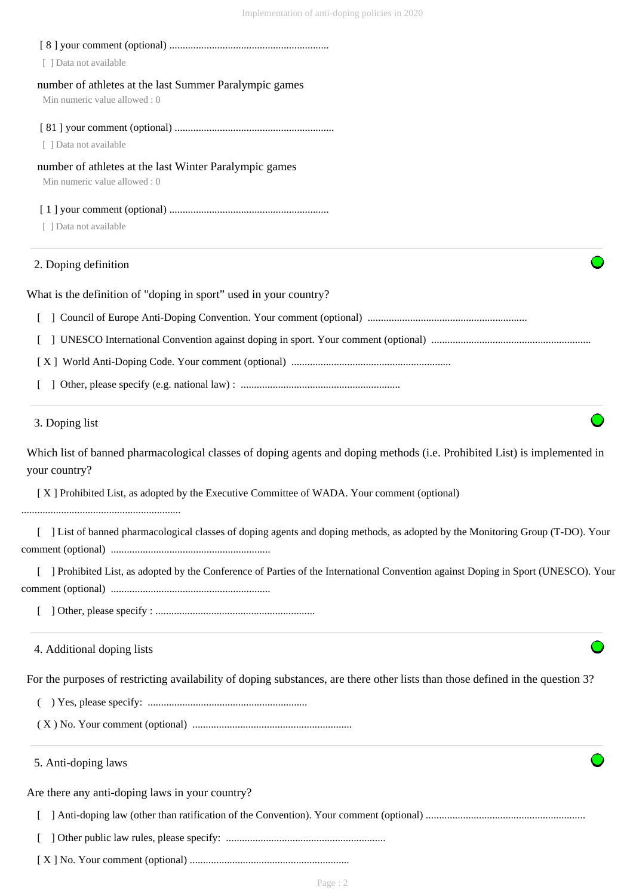| [ ] Data not available                                                                                                                     |
|--------------------------------------------------------------------------------------------------------------------------------------------|
| number of athletes at the last Summer Paralympic games<br>Min numeric value allowed: 0                                                     |
|                                                                                                                                            |
| [ ] Data not available                                                                                                                     |
| number of athletes at the last Winter Paralympic games<br>Min numeric value allowed: 0                                                     |
|                                                                                                                                            |
| [ ] Data not available                                                                                                                     |
| 2. Doping definition                                                                                                                       |
| What is the definition of "doping in sport" used in your country?                                                                          |
|                                                                                                                                            |
|                                                                                                                                            |
|                                                                                                                                            |
|                                                                                                                                            |
| 3. Doping list                                                                                                                             |
| Which list of banned pharmacological classes of doping agents and doping methods (i.e. Prohibited List) is implemented in<br>your country? |
| [X] Prohibited List, as adopted by the Executive Committee of WADA. Your comment (optional)                                                |
| [ ] List of banned pharmacological classes of doping agents and doping methods, as adopted by the Monitoring Group (T-DO). Your            |
| ] Prohibited List, as adopted by the Conference of Parties of the International Convention against Doping in Sport (UNESCO). Your          |
|                                                                                                                                            |
| 4. Additional doping lists                                                                                                                 |
| For the purposes of restricting availability of doping substances, are there other lists than those defined in the question 3?             |
|                                                                                                                                            |
|                                                                                                                                            |
| 5. Anti-doping laws                                                                                                                        |
| Are there any anti-doping laws in your country?                                                                                            |
|                                                                                                                                            |
|                                                                                                                                            |
|                                                                                                                                            |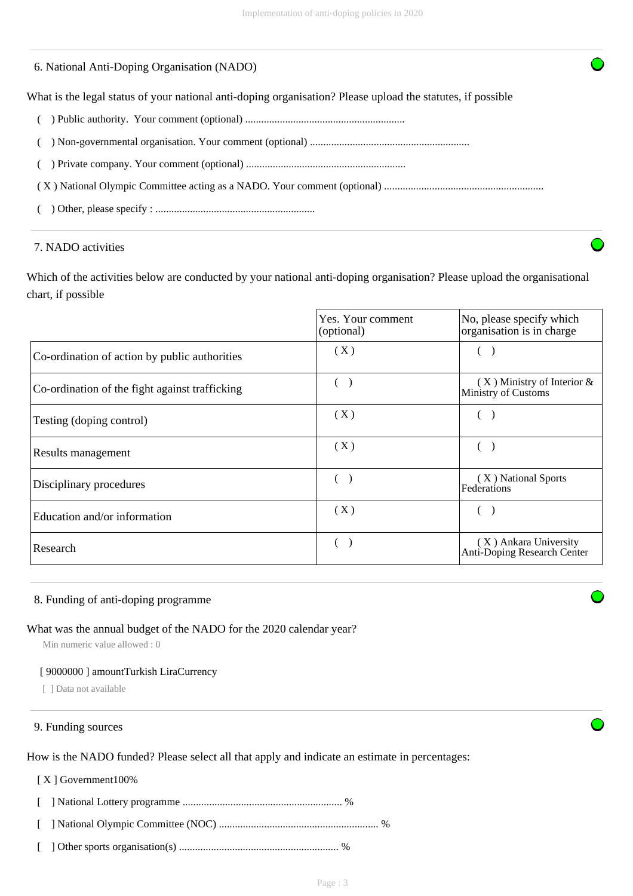# 6. National Anti-Doping Organisation (NADO)

What is the legal status of your national anti-doping organisation? Please upload the statutes, if possible

- ( ) Public authority. Your comment (optional) ............................................................
- ( ) Non-governmental organisation. Your comment (optional) ............................................................
- ( ) Private company. Your comment (optional) ............................................................

( X ) National Olympic Committee acting as a NADO. Your comment (optional) ............................................................

( ) Other, please specify : ............................................................

## 7. NADO activities

Which of the activities below are conducted by your national anti-doping organisation? Please upload the organisational chart, if possible

|                                                | Yes. Your comment<br>(optional) | No, please specify which<br>organisation is in charge  |
|------------------------------------------------|---------------------------------|--------------------------------------------------------|
| Co-ordination of action by public authorities  | (X)                             |                                                        |
| Co-ordination of the fight against trafficking |                                 | $(X)$ Ministry of Interior $\&$<br>Ministry of Customs |
| Testing (doping control)                       | (X)                             |                                                        |
| Results management                             | (X)                             |                                                        |
| Disciplinary procedures                        | $\sqrt{2}$                      | (X) National Sports<br>Federations                     |
| Education and/or information                   | (X)                             |                                                        |
| Research                                       |                                 | (X) Ankara University<br>Anti-Doping Research Center   |

#### 8. Funding of anti-doping programme

#### What was the annual budget of the NADO for the 2020 calendar year?

Min numeric value allowed : 0

#### [ 9000000 ] amountTurkish LiraCurrency

[ ] Data not available

## 9. Funding sources

How is the NADO funded? Please select all that apply and indicate an estimate in percentages:

#### [ X ] Government100%

[ ] National Lottery programme ............................................................ %

- [ ] National Olympic Committee (NOC) ............................................................ %
- [ ] Other sports organisation(s) ............................................................ %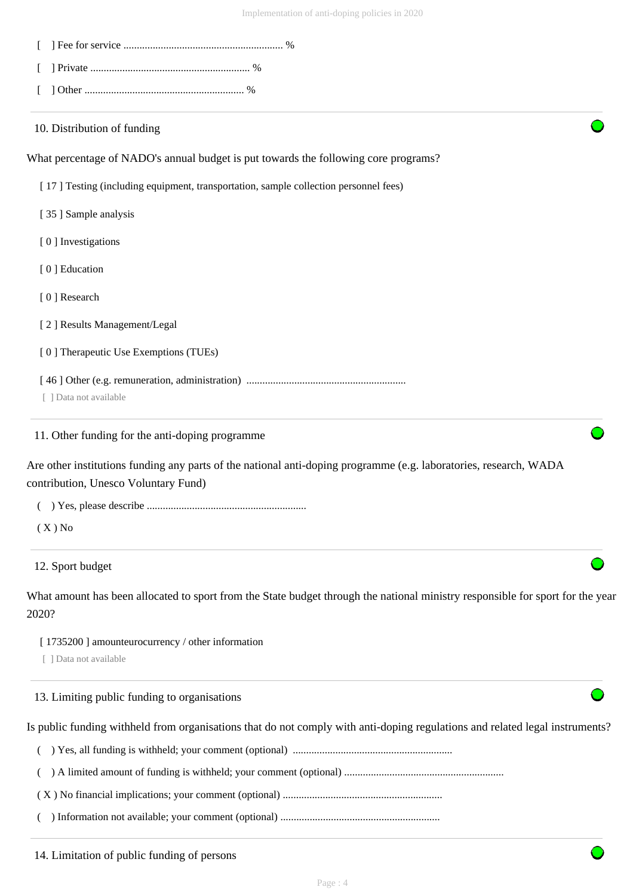| 10. Distribution of funding                                                                                                                               |
|-----------------------------------------------------------------------------------------------------------------------------------------------------------|
| What percentage of NADO's annual budget is put towards the following core programs?                                                                       |
| [17] Testing (including equipment, transportation, sample collection personnel fees)                                                                      |
| [35] Sample analysis                                                                                                                                      |
| [0] Investigations                                                                                                                                        |
| [0] Education                                                                                                                                             |
| [0] Research                                                                                                                                              |
| [2] Results Management/Legal                                                                                                                              |
| [0] Therapeutic Use Exemptions (TUEs)                                                                                                                     |
| [ ] Data not available                                                                                                                                    |
| 11. Other funding for the anti-doping programme                                                                                                           |
| Are other institutions funding any parts of the national anti-doping programme (e.g. laboratories, research, WADA<br>contribution, Unesco Voluntary Fund) |
|                                                                                                                                                           |
| $(X)$ No                                                                                                                                                  |
| 12. Sport budget                                                                                                                                          |
| What amount has been allocated to sport from the State budget through the national ministry responsible for sport for the year<br>2020?                   |
| [1735200] amounteurocurrency / other information                                                                                                          |
| [ ] Data not available                                                                                                                                    |
| 13. Limiting public funding to organisations                                                                                                              |

Is public funding withheld from organisations that do not comply with anti-doping regulations and related legal instruments?

( ) Yes, all funding is withheld; your comment (optional) ............................................................

( ) A limited amount of funding is withheld; your comment (optional) ............................................................

( X ) No financial implications; your comment (optional) ............................................................

( ) Information not available; your comment (optional) ............................................................

14. Limitation of public funding of persons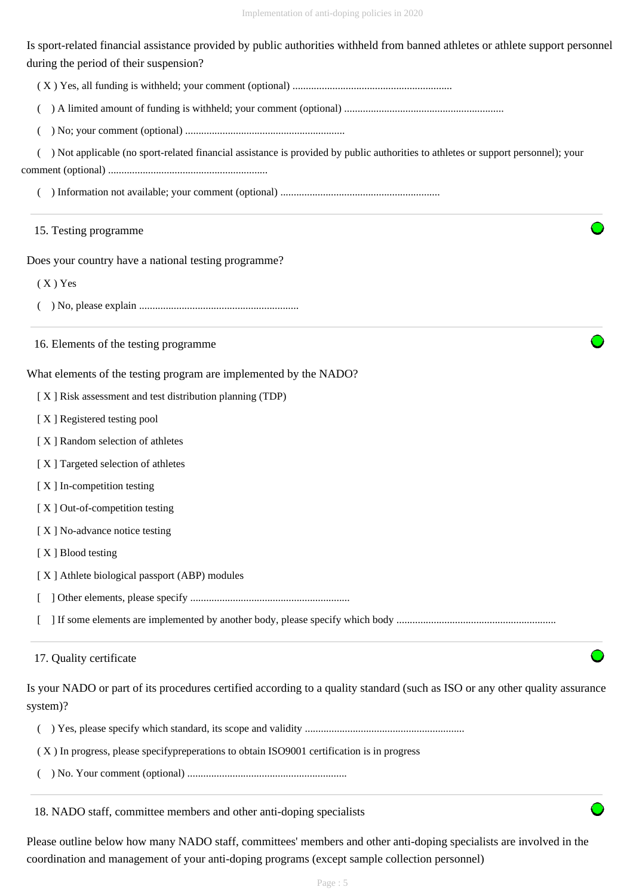Is sport-related financial assistance provided by public authorities withheld from banned athletes or athlete support personnel during the period of their suspension?

( X ) Yes, all funding is withheld; your comment (optional) ............................................................

( ) A limited amount of funding is withheld; your comment (optional) ............................................................

( ) No; your comment (optional) ............................................................

( ) Not applicable (no sport-related financial assistance is provided by public authorities to athletes or support personnel); your

comment (optional) ............................................................

( ) Information not available; your comment (optional) ............................................................

## 15. Testing programme

Does your country have a national testing programme?

( X ) Yes

( ) No, please explain ............................................................

16. Elements of the testing programme

What elements of the testing program are implemented by the NADO?

[ X ] Risk assessment and test distribution planning (TDP)

[ X ] Registered testing pool

- [ X ] Random selection of athletes
- [ X ] Targeted selection of athletes
- [ X ] In-competition testing
- [X] Out-of-competition testing
- [X] No-advance notice testing
- [X ] Blood testing
- [ X ] Athlete biological passport (ABP) modules
- [ ] Other elements, please specify ............................................................

[ ] If some elements are implemented by another body, please specify which body ............................................................

# 17. Quality certificate

Is your NADO or part of its procedures certified according to a quality standard (such as ISO or any other quality assurance system)?

( ) Yes, please specify which standard, its scope and validity ............................................................

( X ) In progress, please specifypreperations to obtain ISO9001 certification is in progress

( ) No. Your comment (optional) ............................................................

18. NADO staff, committee members and other anti-doping specialists

Please outline below how many NADO staff, committees' members and other anti-doping specialists are involved in the coordination and management of your anti-doping programs (except sample collection personnel)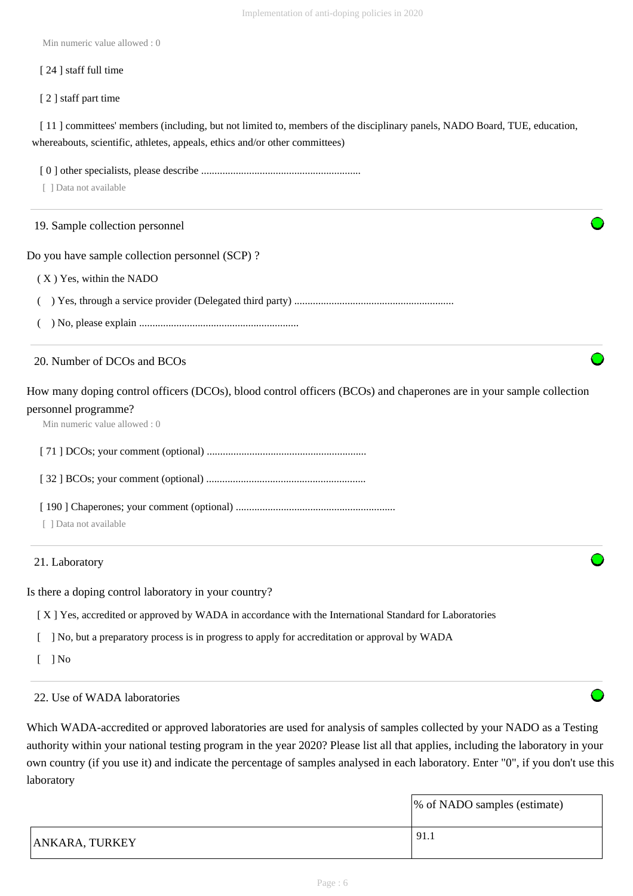Min numeric value allowed : 0

#### [ 24 ] staff full time

[ 2 ] staff part time

[11] committees' members (including, but not limited to, members of the disciplinary panels, NADO Board, TUE, education, whereabouts, scientific, athletes, appeals, ethics and/or other committees)

[ 0 ] other specialists, please describe ............................................................

[ ] Data not available

# 19. Sample collection personnel

Do you have sample collection personnel (SCP) ?

- ( X ) Yes, within the NADO
- ( ) Yes, through a service provider (Delegated third party) ............................................................
- ( ) No, please explain ............................................................

## 20. Number of DCOs and BCOs

How many doping control officers (DCOs), blood control officers (BCOs) and chaperones are in your sample collection personnel programme?

Min numeric value allowed : 0

[ 71 ] DCOs; your comment (optional) ............................................................

[ 32 ] BCOs; your comment (optional) ............................................................

[ 190 ] Chaperones; your comment (optional) ............................................................

[ ] Data not available

# 21. Laboratory

Is there a doping control laboratory in your country?

[ X ] Yes, accredited or approved by WADA in accordance with the International Standard for Laboratories

[ ] No, but a preparatory process is in progress to apply for accreditation or approval by WADA

 $\lceil$   $\rceil$  No

# 22. Use of WADA laboratories

Which WADA-accredited or approved laboratories are used for analysis of samples collected by your NADO as a Testing authority within your national testing program in the year 2020? Please list all that applies, including the laboratory in your own country (if you use it) and indicate the percentage of samples analysed in each laboratory. Enter "0", if you don't use this laboratory

|                       | % of NADO samples (estimate) |
|-----------------------|------------------------------|
| <b>ANKARA, TURKEY</b> | 91.1                         |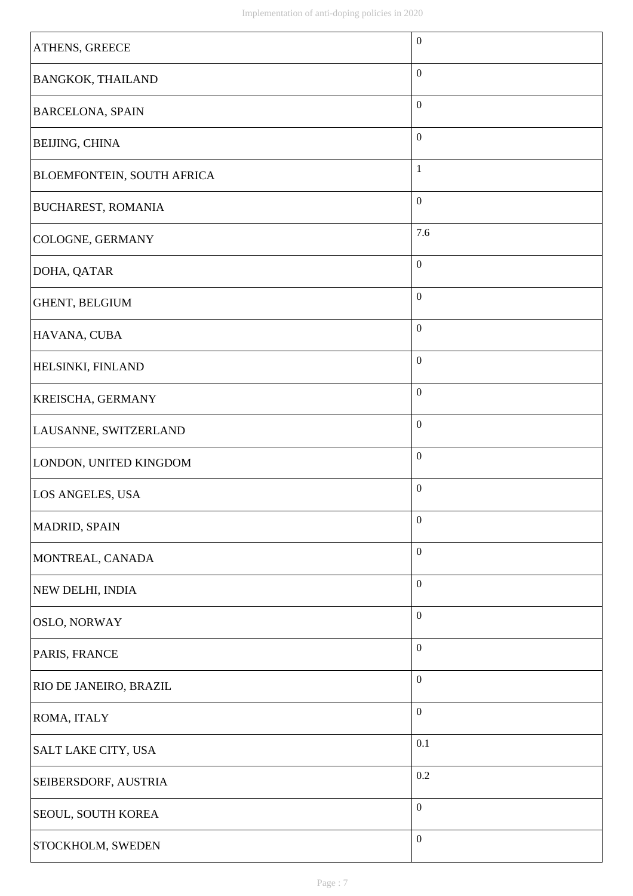| <b>ATHENS, GREECE</b>             | $\boldsymbol{0}$ |
|-----------------------------------|------------------|
| <b>BANGKOK, THAILAND</b>          | $\boldsymbol{0}$ |
| <b>BARCELONA, SPAIN</b>           | $\boldsymbol{0}$ |
| <b>BEIJING, CHINA</b>             | $\boldsymbol{0}$ |
| <b>BLOEMFONTEIN, SOUTH AFRICA</b> | $\mathbf{1}$     |
| <b>BUCHAREST, ROMANIA</b>         | $\boldsymbol{0}$ |
| <b>COLOGNE, GERMANY</b>           | 7.6              |
| DOHA, QATAR                       | $\boldsymbol{0}$ |
| GHENT, BELGIUM                    | $\boldsymbol{0}$ |
| HAVANA, CUBA                      | $\boldsymbol{0}$ |
| <b>HELSINKI, FINLAND</b>          | $\boldsymbol{0}$ |
| <b>KREISCHA, GERMANY</b>          | $\boldsymbol{0}$ |
| LAUSANNE, SWITZERLAND             | $\boldsymbol{0}$ |
| LONDON, UNITED KINGDOM            | $\boldsymbol{0}$ |
| LOS ANGELES, USA                  | $\boldsymbol{0}$ |
| MADRID, SPAIN                     | $\boldsymbol{0}$ |
| MONTREAL, CANADA                  | $\boldsymbol{0}$ |
| NEW DELHI, INDIA                  | $\boldsymbol{0}$ |
| <b>OSLO, NORWAY</b>               | $\boldsymbol{0}$ |
| PARIS, FRANCE                     | $\boldsymbol{0}$ |
| <b>RIO DE JANEIRO, BRAZIL</b>     | $\boldsymbol{0}$ |
| <b>ROMA, ITALY</b>                | $\boldsymbol{0}$ |
| SALT LAKE CITY, USA               | 0.1              |
| SEIBERSDORF, AUSTRIA              | 0.2              |
| SEOUL, SOUTH KOREA                | $\boldsymbol{0}$ |
| <b>STOCKHOLM, SWEDEN</b>          | $\boldsymbol{0}$ |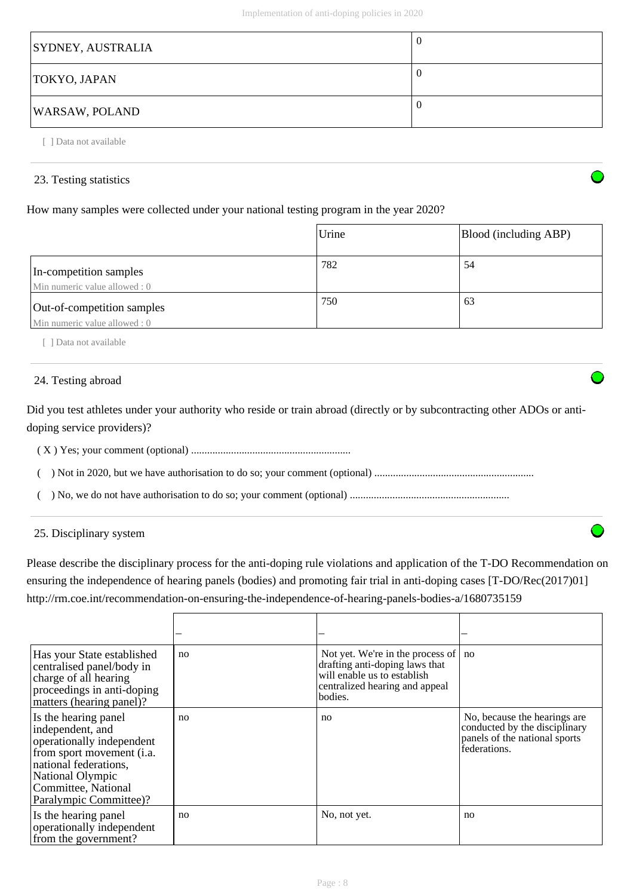| <b>SYDNEY, AUSTRALIA</b> | U |
|--------------------------|---|
| TOKYO, JAPAN             | U |
| <b>WARSAW, POLAND</b>    | U |

[ ] Data not available

# 23. Testing statistics

# How many samples were collected under your national testing program in the year 2020?

|                                                             | Urine | Blood (including ABP) |
|-------------------------------------------------------------|-------|-----------------------|
| In-competition samples<br>Min numeric value allowed : 0     | 782   | 54                    |
| Out-of-competition samples<br>Min numeric value allowed : 0 | 750   | 63                    |

[ ] Data not available

# 24. Testing abroad

Did you test athletes under your authority who reside or train abroad (directly or by subcontracting other ADOs or antidoping service providers)?

( X ) Yes; your comment (optional) ............................................................

( ) Not in 2020, but we have authorisation to do so; your comment (optional) ............................................................

( ) No, we do not have authorisation to do so; your comment (optional) ............................................................

25. Disciplinary system

Please describe the disciplinary process for the anti-doping rule violations and application of the T-DO Recommendation on ensuring the independence of hearing panels (bodies) and promoting fair trial in anti-doping cases [T-DO/Rec(2017)01] http://rm.coe.int/recommendation-on-ensuring-the-independence-of-hearing-panels-bodies-a/1680735159

| Has your State established<br>centralised panel/body in<br>charge of all hearing<br>proceedings in anti-doping<br>matters (hearing panel)?                                                                 | no | Not yet. We're in the process of<br>drafting anti-doping laws that<br>will enable us to establish<br>centralized hearing and appeal<br>bodies. | no                                                                                                              |
|------------------------------------------------------------------------------------------------------------------------------------------------------------------------------------------------------------|----|------------------------------------------------------------------------------------------------------------------------------------------------|-----------------------------------------------------------------------------------------------------------------|
| Is the hearing panel<br>independent, and<br>operationally independent<br>from sport movement ( <i>i.a.</i> )<br>national federations,<br>National Olympic<br>Committee, National<br>Paralympic Committee)? | no | n <sub>0</sub>                                                                                                                                 | No, because the hearings are.<br>conducted by the disciplinary<br>panels of the national sports<br>federations. |
| Is the hearing panel<br>operationally independent<br>from the government?                                                                                                                                  | no | No, not yet.                                                                                                                                   | no                                                                                                              |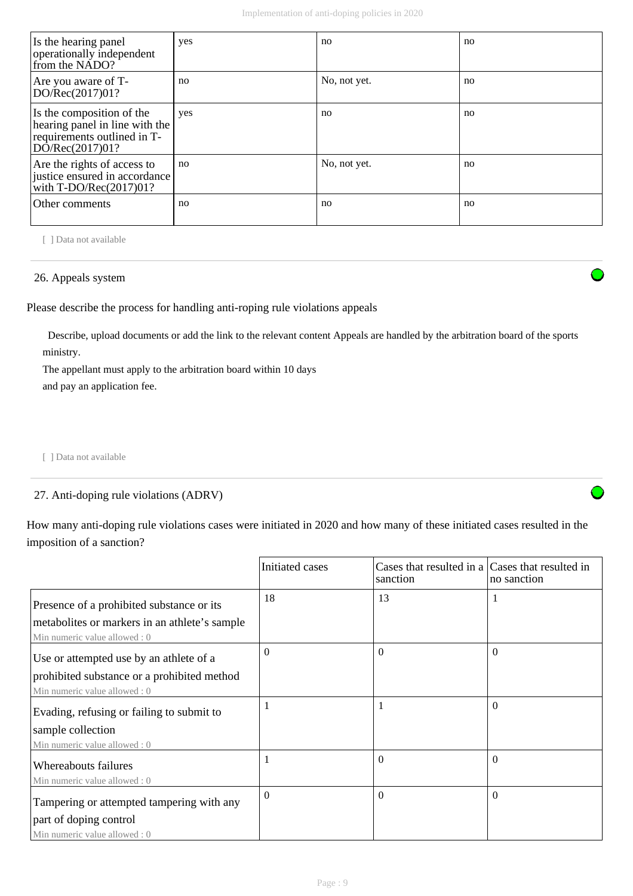| Is the hearing panel<br>operationally independent<br>from the NADO?                                           | yes | no           | no |
|---------------------------------------------------------------------------------------------------------------|-----|--------------|----|
| Are you aware of T-<br>DO/Rec(2017)01?                                                                        | no  | No, not yet. | no |
| Is the composition of the<br>hearing panel in line with the<br>requirements outlined in T-<br>DO/Rec(2017)01? | yes | no           | no |
| Are the rights of access to<br>justice ensured in accordance<br>with T-DO/Rec $(2017)01?$                     | no  | No, not yet. | no |
| Other comments                                                                                                | no  | no           | no |

[ ] Data not available

# 26. Appeals system

Please describe the process for handling anti-roping rule violations appeals

 Describe, upload documents or add the link to the relevant content Appeals are handled by the arbitration board of the sports ministry.

The appellant must apply to the arbitration board within 10 days and pay an application fee.

[ ] Data not available

# 27. Anti-doping rule violations (ADRV)

How many anti-doping rule violations cases were initiated in 2020 and how many of these initiated cases resulted in the imposition of a sanction?

|                                                                                 | Initiated cases | Cases that resulted in a Cases that resulted in<br>sanction | no sanction |
|---------------------------------------------------------------------------------|-----------------|-------------------------------------------------------------|-------------|
| Presence of a prohibited substance or its                                       | 18              | 13                                                          |             |
| metabolities or markers in an athlete's sample<br>Min numeric value allowed : 0 |                 |                                                             |             |
| Use or attempted use by an athlete of a                                         | $\Omega$        | $\Omega$                                                    | $\Omega$    |
| prohibited substance or a prohibited method<br>Min numeric value allowed: 0     |                 |                                                             |             |
| Evading, refusing or failing to submit to                                       |                 |                                                             | $\Omega$    |
| sample collection<br>Min numeric value allowed: 0                               |                 |                                                             |             |
| Whereabouts failures                                                            |                 | $\theta$                                                    | $\Omega$    |
| Min numeric value allowed : 0                                                   |                 |                                                             |             |
| Tampering or attempted tampering with any                                       | $\Omega$        | $\Omega$                                                    | $\Omega$    |
| part of doping control                                                          |                 |                                                             |             |
| Min numeric value allowed : 0                                                   |                 |                                                             |             |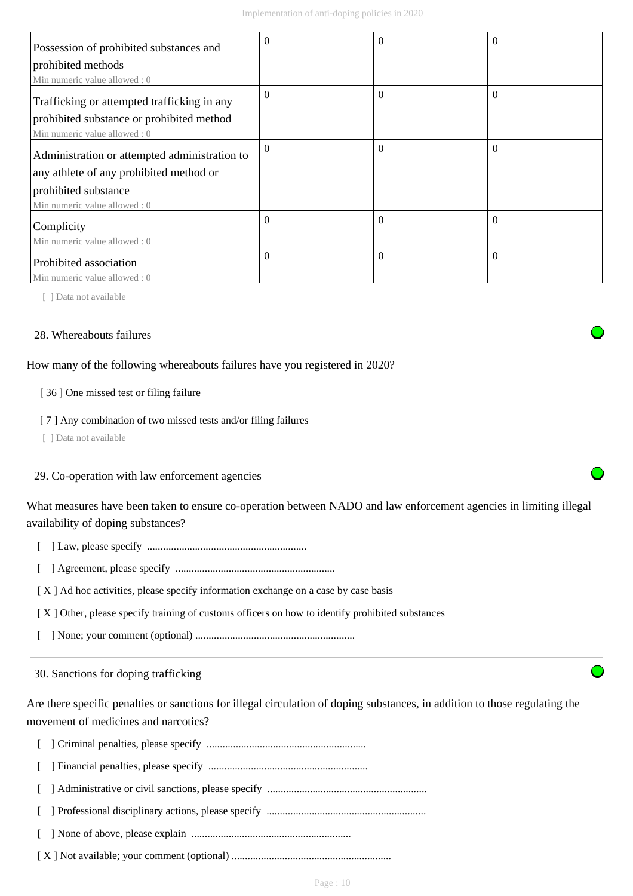| Possession of prohibited substances and       | $\Omega$ | 0        | $\theta$ |
|-----------------------------------------------|----------|----------|----------|
| prohibited methods                            |          |          |          |
| Min numeric value allowed: 0                  |          |          |          |
| Trafficking or attempted trafficking in any   | $\theta$ | $\theta$ | $\Omega$ |
| prohibited substance or prohibited method     |          |          |          |
| Min numeric value allowed: 0                  |          |          |          |
| Administration or attempted administration to | $\theta$ | $\Omega$ | $\Omega$ |
| any athlete of any prohibited method or       |          |          |          |
| prohibited substance                          |          |          |          |
| Min numeric value allowed: 0                  |          |          |          |
| Complicity                                    | $\Omega$ | $\Omega$ | $\Omega$ |
| Min numeric value allowed : 0                 |          |          |          |
| Prohibited association                        | $\theta$ | $\Omega$ | $\Omega$ |
| Min numeric value allowed: 0                  |          |          |          |

[ ] Data not available

## 28. Whereabouts failures

How many of the following whereabouts failures have you registered in 2020?

## [ 36 ] One missed test or filing failure

#### [ 7 ] Any combination of two missed tests and/or filing failures

[ ] Data not available

# 29. Co-operation with law enforcement agencies

What measures have been taken to ensure co-operation between NADO and law enforcement agencies in limiting illegal availability of doping substances?

- [ ] Law, please specify ............................................................
- [ ] Agreement, please specify ............................................................

[X] Ad hoc activities, please specify information exchange on a case by case basis

[ X ] Other, please specify training of customs officers on how to identify prohibited substances

[ ] None; your comment (optional) ............................................................

30. Sanctions for doping trafficking

Are there specific penalties or sanctions for illegal circulation of doping substances, in addition to those regulating the movement of medicines and narcotics?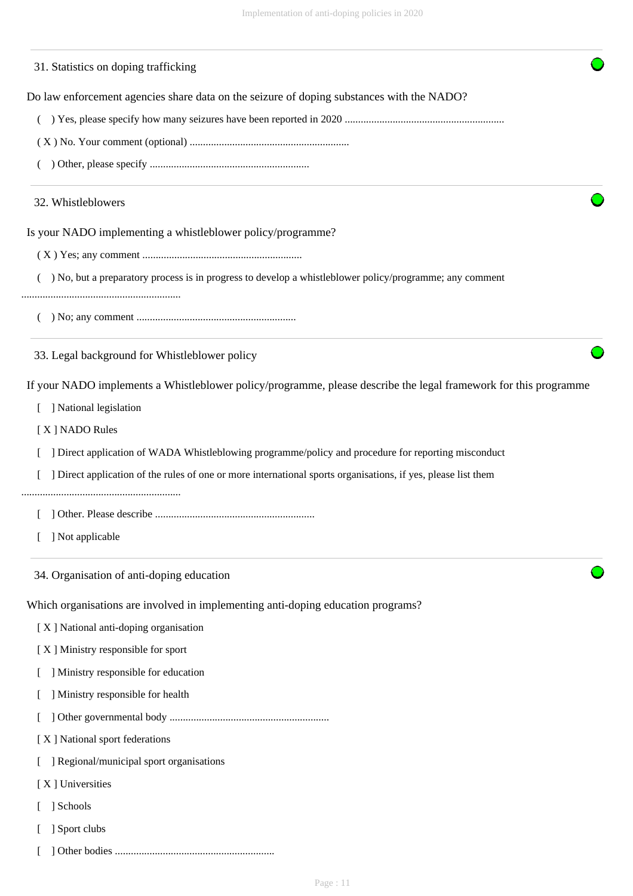| 31. Statistics on doping trafficking                                                                             |
|------------------------------------------------------------------------------------------------------------------|
| Do law enforcement agencies share data on the seizure of doping substances with the NADO?                        |
|                                                                                                                  |
|                                                                                                                  |
|                                                                                                                  |
| 32. Whistleblowers                                                                                               |
| Is your NADO implementing a whistleblower policy/programme?                                                      |
|                                                                                                                  |
| ) No, but a preparatory process is in progress to develop a whistleblower policy/programme; any comment          |
|                                                                                                                  |
| 33. Legal background for Whistleblower policy                                                                    |
| If your NADO implements a Whistleblower policy/programme, please describe the legal framework for this programme |
| ] National legislation                                                                                           |
| [X] NADO Rules                                                                                                   |
| Direct application of WADA Whistleblowing programme/policy and procedure for reporting misconduct                |
| ] Direct application of the rules of one or more international sports organisations, if yes, please list them    |
|                                                                                                                  |
| ] Not applicable                                                                                                 |
| 34. Organisation of anti-doping education                                                                        |
| Which organisations are involved in implementing anti-doping education programs?                                 |
| [X] National anti-doping organisation                                                                            |
| [X] Ministry responsible for sport                                                                               |
| ] Ministry responsible for education                                                                             |
| Ministry responsible for health                                                                                  |
|                                                                                                                  |
| [X] National sport federations                                                                                   |
| ] Regional/municipal sport organisations                                                                         |
| [X] Universities                                                                                                 |
| ] Schools                                                                                                        |
| Sport clubs                                                                                                      |

[ ] Other bodies ............................................................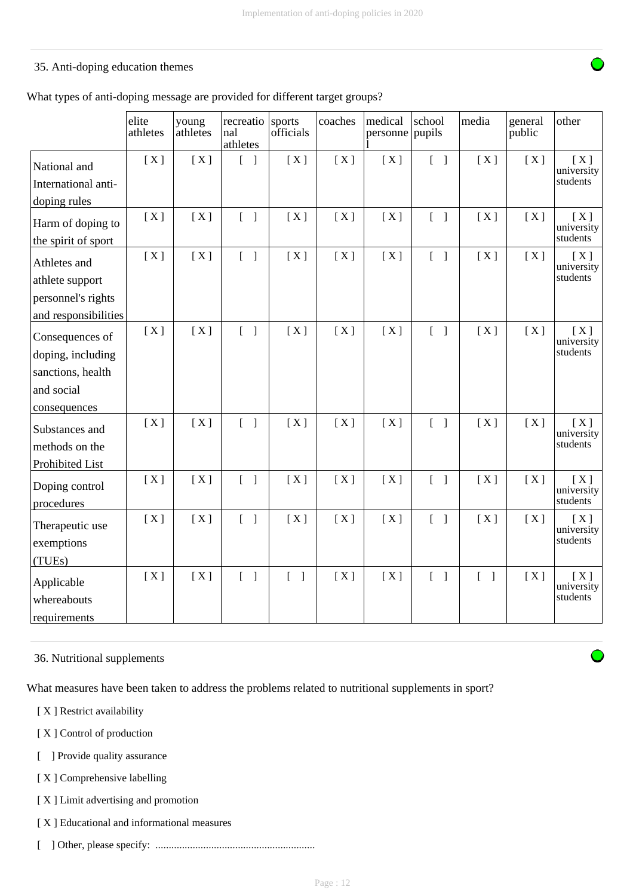# 35. Anti-doping education themes

What types of anti-doping message are provided for different target groups?

|                                                                                         | elite<br>athletes | young<br>athletes | recreatio<br>nal<br>athletes      | sports<br>officials               | coaches | medical<br>personne | school<br>pupils                  | media                             | general<br>public | other                         |
|-----------------------------------------------------------------------------------------|-------------------|-------------------|-----------------------------------|-----------------------------------|---------|---------------------|-----------------------------------|-----------------------------------|-------------------|-------------------------------|
| National and<br>International anti-                                                     | [X]               | [X]               | $[\ ]$                            | [X]                               | [X]     | [X]                 | $\begin{bmatrix} 1 \end{bmatrix}$ | [X]                               | [X]               | [X]<br>university<br>students |
| doping rules<br>Harm of doping to<br>the spirit of sport                                | [X]               | [X]               | $\begin{bmatrix} 1 \end{bmatrix}$ | [X]                               | [X]     | [X]                 | $\begin{bmatrix} 1 \end{bmatrix}$ | [X]                               | [X]               | [X]<br>university<br>students |
| Athletes and<br>athlete support<br>personnel's rights<br>and responsibilities           | [X]               | [X]               | $\begin{bmatrix} 1 \end{bmatrix}$ | [X]                               | [X]     | [X]                 | $\begin{bmatrix} 1 \end{bmatrix}$ | [X]                               | [X]               | [X]<br>university<br>students |
| Consequences of<br>doping, including<br>sanctions, health<br>and social<br>consequences | [X]               | [X]               | $\begin{bmatrix} 1 \end{bmatrix}$ | [X]                               | [X]     | [X]                 | $\begin{bmatrix} 1 \end{bmatrix}$ | [X]                               | [X]               | [X]<br>university<br>students |
| Substances and<br>methods on the<br>Prohibited List                                     | [X]               | [X]               | $\begin{bmatrix} 1 \end{bmatrix}$ | [X]                               | [X]     | [X]                 | $\begin{bmatrix} 1 \end{bmatrix}$ | [X]                               | [X]               | [X]<br>university<br>students |
| Doping control<br>procedures                                                            | [X]               | [X]               | $\begin{bmatrix} 1 \end{bmatrix}$ | [X]                               | [X]     | [X]                 | $\begin{bmatrix} 1 \end{bmatrix}$ | [X]                               | [X]               | [X]<br>university<br>students |
| Therapeutic use<br>exemptions<br>(TUEs)                                                 | [X]               | [X]               | $\begin{bmatrix} 1 \end{bmatrix}$ | [X]                               | [X]     | [X]                 | $[\ ]$                            | [X]                               | [X]               | [X]<br>university<br>students |
| Applicable<br>whereabouts<br>requirements                                               | [X]               | [X]               | $\begin{bmatrix} 1 \end{bmatrix}$ | $\begin{bmatrix} 1 \end{bmatrix}$ | [X]     | [X]                 | $[\ ]$                            | $\begin{bmatrix} 1 \end{bmatrix}$ | [X]               | [X]<br>university<br>students |

36. Nutritional supplements

What measures have been taken to address the problems related to nutritional supplements in sport?

[ X ] Restrict availability

- [X] Control of production
- [ ] Provide quality assurance
- [ X ] Comprehensive labelling
- [ X ] Limit advertising and promotion
- [ X ] Educational and informational measures
- [ ] Other, please specify: ............................................................